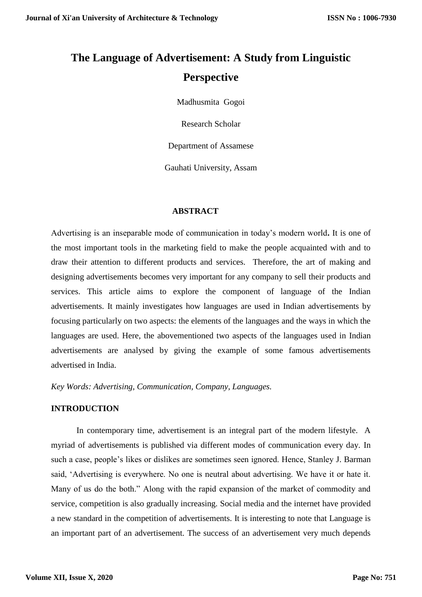# **The Language of Advertisement: A Study from Linguistic Perspective**

Madhusmita Gogoi

Research Scholar

Department of Assamese

Gauhati University, Assam

## **ABSTRACT**

Advertising is an inseparable mode of communication in today's modern world**.** It is one of the most important tools in the marketing field to make the people acquainted with and to draw their attention to different products and services. Therefore, the art of making and designing advertisements becomes very important for any company to sell their products and services. This article aims to explore the component of language of the Indian advertisements. It mainly investigates how languages are used in Indian advertisements by focusing particularly on two aspects: the elements of the languages and the ways in which the languages are used. Here, the abovementioned two aspects of the languages used in Indian advertisements are analysed by giving the example of some famous advertisements advertised in India.

*Key Words: Advertising, Communication, Company, Languages.*

## **INTRODUCTION**

In contemporary time, advertisement is an integral part of the modern lifestyle. A myriad of advertisements is published via different modes of communication every day. In such a case, people's likes or dislikes are sometimes seen ignored. Hence, Stanley J. Barman said, 'Advertising is everywhere. No one is neutral about advertising. We have it or hate it. Many of us do the both." Along with the rapid expansion of the market of commodity and service, competition is also gradually increasing. Social media and the internet have provided a new standard in the competition of advertisements. It is interesting to note that Language is an important part of an advertisement. The success of an advertisement very much depends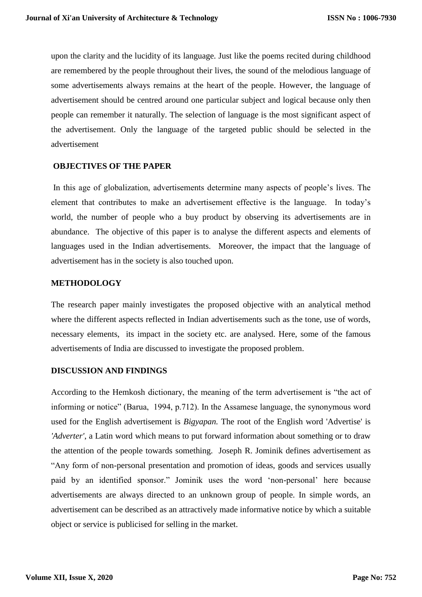upon the clarity and the lucidity of its language. Just like the poems recited during childhood are remembered by the people throughout their lives, the sound of the melodious language of some advertisements always remains at the heart of the people. However, the language of advertisement should be centred around one particular subject and logical because only then people can remember it naturally. The selection of language is the most significant aspect of the advertisement. Only the language of the targeted public should be selected in the advertisement

## **OBJECTIVES OF THE PAPER**

In this age of globalization, advertisements determine many aspects of people's lives. The element that contributes to make an advertisement effective is the language. In today's world, the number of people who a buy product by observing its advertisements are in abundance. The objective of this paper is to analyse the different aspects and elements of languages used in the Indian advertisements. Moreover, the impact that the language of advertisement has in the society is also touched upon.

## **METHODOLOGY**

The research paper mainly investigates the proposed objective with an analytical method where the different aspects reflected in Indian advertisements such as the tone, use of words, necessary elements, its impact in the society etc. are analysed. Here, some of the famous advertisements of India are discussed to investigate the proposed problem.

# **DISCUSSION AND FINDINGS**

According to the Hemkosh dictionary, the meaning of the term advertisement is "the act of informing or notice" (Barua, 1994, p.712). In the Assamese language, the synonymous word used for the English advertisement is *Bigyapan.* The root of the English word 'Advertise' is *'Adverter'*, a Latin word which means to put forward information about something or to draw the attention of the people towards something. Joseph R. Jominik defines advertisement as "Any form of non-personal presentation and promotion of ideas, goods and services usually paid by an identified sponsor." Jominik uses the word 'non-personal' here because advertisements are always directed to an unknown group of people. In simple words, an advertisement can be described as an attractively made informative notice by which a suitable object or service is publicised for selling in the market.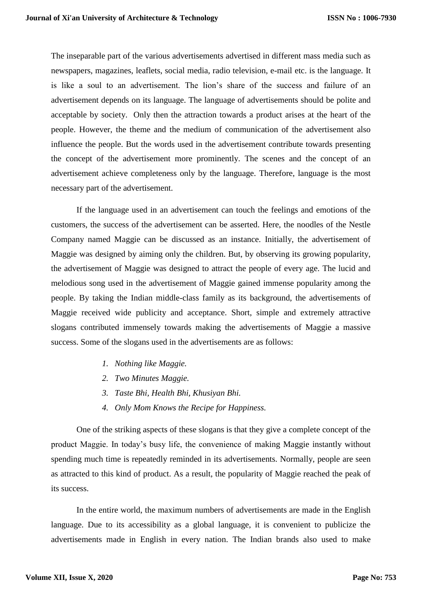The inseparable part of the various advertisements advertised in different mass media such as newspapers, magazines, leaflets, social media, radio television, e-mail etc. is the language. It is like a soul to an advertisement. The lion's share of the success and failure of an advertisement depends on its language. The language of advertisements should be polite and acceptable by society. Only then the attraction towards a product arises at the heart of the people. However, the theme and the medium of communication of the advertisement also influence the people. But the words used in the advertisement contribute towards presenting the concept of the advertisement more prominently. The scenes and the concept of an advertisement achieve completeness only by the language. Therefore, language is the most necessary part of the advertisement.

If the language used in an advertisement can touch the feelings and emotions of the customers, the success of the advertisement can be asserted. Here, the noodles of the Nestle Company named Maggie can be discussed as an instance. Initially, the advertisement of Maggie was designed by aiming only the children. But, by observing its growing popularity, the advertisement of Maggie was designed to attract the people of every age. The lucid and melodious song used in the advertisement of Maggie gained immense popularity among the people. By taking the Indian middle-class family as its background, the advertisements of Maggie received wide publicity and acceptance. Short, simple and extremely attractive slogans contributed immensely towards making the advertisements of Maggie a massive success. Some of the slogans used in the advertisements are as follows:

- *1. Nothing like Maggie.*
- *2. Two Minutes Maggie.*
- *3. Taste Bhi, Health Bhi, Khusiyan Bhi.*
- *4. Only Mom Knows the Recipe for Happiness.*

One of the striking aspects of these slogans is that they give a complete concept of the product Maggie. In today's busy life, the convenience of making Maggie instantly without spending much time is repeatedly reminded in its advertisements. Normally, people are seen as attracted to this kind of product. As a result, the popularity of Maggie reached the peak of its success.

In the entire world, the maximum numbers of advertisements are made in the English language. Due to its accessibility as a global language, it is convenient to publicize the advertisements made in English in every nation. The Indian brands also used to make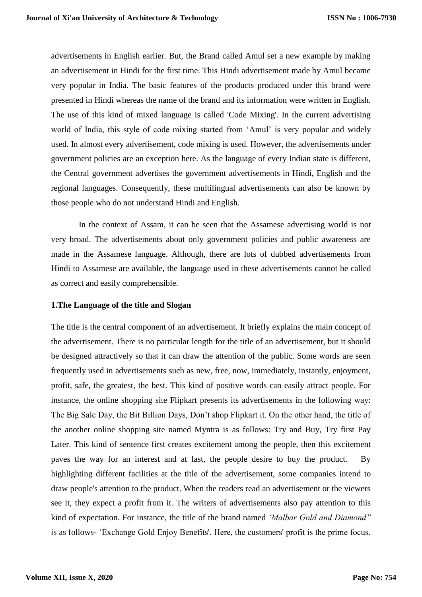advertisements in English earlier. But, the Brand called Amul set a new example by making an advertisement in Hindi for the first time. This Hindi advertisement made by Amul became very popular in India. The basic features of the products produced under this brand were presented in Hindi whereas the name of the brand and its information were written in English. The use of this kind of mixed language is called 'Code Mixing'. In the current advertising world of India, this style of code mixing started from 'Amul' is very popular and widely used. In almost every advertisement, code mixing is used. However, the advertisements under government policies are an exception here. As the language of every Indian state is different, the Central government advertises the government advertisements in Hindi, English and the regional languages. Consequently, these multilingual advertisements can also be known by those people who do not understand Hindi and English.

In the context of Assam, it can be seen that the Assamese advertising world is not very broad. The advertisements about only government policies and public awareness are made in the Assamese language. Although, there are lots of dubbed advertisements from Hindi to Assamese are available, the language used in these advertisements cannot be called as correct and easily comprehensible.

#### **1.The Language of the title and Slogan**

The title is the central component of an advertisement. It briefly explains the main concept of the advertisement. There is no particular length for the title of an advertisement, but it should be designed attractively so that it can draw the attention of the public. Some words are seen frequently used in advertisements such as new, free, now, immediately, instantly, enjoyment, profit, safe, the greatest, the best. This kind of positive words can easily attract people. For instance, the online shopping site Flipkart presents its advertisements in the following way: The Big Sale Day, the Bit Billion Days, Don't shop Flipkart it. On the other hand, the title of the another online shopping site named Myntra is as follows: Try and Buy, Try first Pay Later. This kind of sentence first creates excitement among the people, then this excitement paves the way for an interest and at last, the people desire to buy the product. By highlighting different facilities at the title of the advertisement, some companies intend to draw people's attention to the product. When the readers read an advertisement or the viewers see it, they expect a profit from it. The writers of advertisements also pay attention to this kind of expectation. For instance, the title of the brand named *'Malbar Gold and Diamond"* is as follows- 'Exchange Gold Enjoy Benefits'. Here, the customers' profit is the prime focus.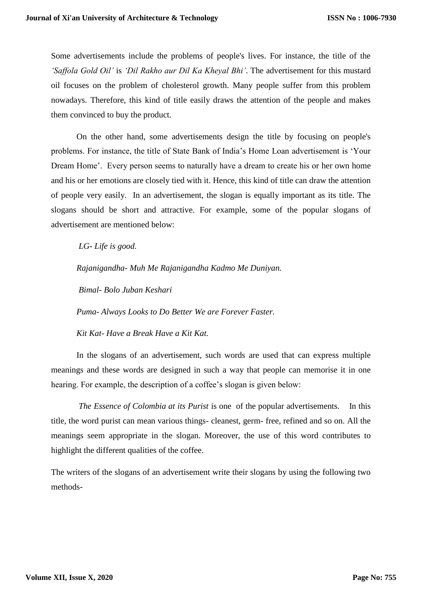Some advertisements include the problems of people's lives. For instance, the title of the *'Saffola Gold Oil'* is *'Dil Rakho aur Dil Ka Kheyal Bhi'*. The advertisement for this mustard oil focuses on the problem of cholesterol growth. Many people suffer from this problem nowadays. Therefore, this kind of title easily draws the attention of the people and makes them convinced to buy the product.

On the other hand, some advertisements design the title by focusing on people's problems. For instance, the title of State Bank of India's Home Loan advertisement is 'Your Dream Home'. Every person seems to naturally have a dream to create his or her own home and his or her emotions are closely tied with it. Hence, this kind of title can draw the attention of people very easily. In an advertisement, the slogan is equally important as its title. The slogans should be short and attractive. For example, some of the popular slogans of advertisement are mentioned below:

*LG- Life is good.* 

*Rajanigandha- Muh Me Rajanigandha Kadmo Me Duniyan.*

*Bimal- Bolo Juban Keshari* 

*Puma- Always Looks to Do Better We are Forever Faster.*

*Kit Kat- Have a Break Have a Kit Kat.*

In the slogans of an advertisement, such words are used that can express multiple meanings and these words are designed in such a way that people can memorise it in one hearing. For example, the description of a coffee's slogan is given below:

*The Essence of Colombia at its Purist* is one of the popular advertisements. In this title, the word purist can mean various things- cleanest, germ- free, refined and so on. All the meanings seem appropriate in the slogan. Moreover, the use of this word contributes to highlight the different qualities of the coffee.

The writers of the slogans of an advertisement write their slogans by using the following two methods-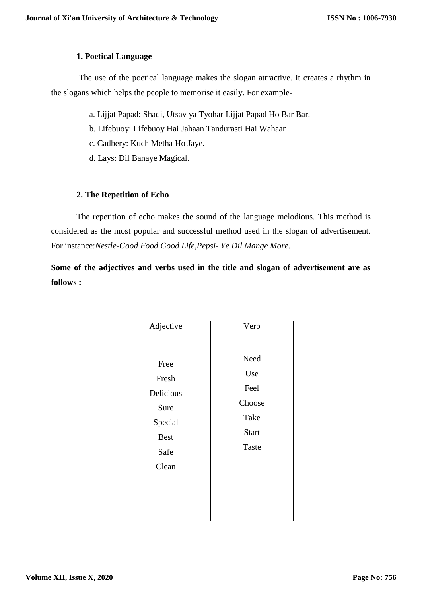# **1. Poetical Language**

The use of the poetical language makes the slogan attractive. It creates a rhythm in the slogans which helps the people to memorise it easily. For example-

- a. Lijjat Papad: Shadi, Utsav ya Tyohar Lijjat Papad Ho Bar Bar.
- b. Lifebuoy: Lifebuoy Hai Jahaan Tandurasti Hai Wahaan.
- c. Cadbery: Kuch Metha Ho Jaye.
- d. Lays: Dil Banaye Magical.

# **2. The Repetition of Echo**

The repetition of echo makes the sound of the language melodious. This method is considered as the most popular and successful method used in the slogan of advertisement. For instance:*Nestle-Good Food Good Life,Pepsi- Ye Dil Mange More*.

**Some of the adjectives and verbs used in the title and slogan of advertisement are as follows :** 

| Adjective                                                                     | Verb                                                           |
|-------------------------------------------------------------------------------|----------------------------------------------------------------|
| Free<br>Fresh<br>Delicious<br>Sure<br>Special<br><b>Best</b><br>Safe<br>Clean | Need<br>Use<br>Feel<br>Choose<br>Take<br><b>Start</b><br>Taste |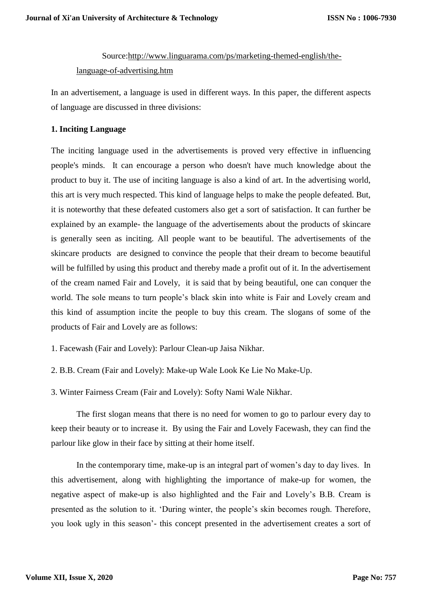# Source[:http://www.linguarama.com/ps/marketing-themed-english/the](http://www.linguarama.com/ps/marketing-themed-english/the-language-of-advertising.htm)[language-of-advertising.htm](http://www.linguarama.com/ps/marketing-themed-english/the-language-of-advertising.htm)

In an advertisement, a language is used in different ways. In this paper, the different aspects of language are discussed in three divisions:

# **1. Inciting Language**

The inciting language used in the advertisements is proved very effective in influencing people's minds. It can encourage a person who doesn't have much knowledge about the product to buy it. The use of inciting language is also a kind of art. In the advertising world, this art is very much respected. This kind of language helps to make the people defeated. But, it is noteworthy that these defeated customers also get a sort of satisfaction. It can further be explained by an example- the language of the advertisements about the products of skincare is generally seen as inciting. All people want to be beautiful. The advertisements of the skincare products are designed to convince the people that their dream to become beautiful will be fulfilled by using this product and thereby made a profit out of it. In the advertisement of the cream named Fair and Lovely, it is said that by being beautiful, one can conquer the world. The sole means to turn people's black skin into white is Fair and Lovely cream and this kind of assumption incite the people to buy this cream. The slogans of some of the products of Fair and Lovely are as follows:

1. Facewash (Fair and Lovely): Parlour Clean-up Jaisa Nikhar.

2. B.B. Cream (Fair and Lovely): Make-up Wale Look Ke Lie No Make-Up.

3. Winter Fairness Cream (Fair and Lovely): Softy Nami Wale Nikhar.

The first slogan means that there is no need for women to go to parlour every day to keep their beauty or to increase it. By using the Fair and Lovely Facewash, they can find the parlour like glow in their face by sitting at their home itself.

In the contemporary time, make-up is an integral part of women's day to day lives. In this advertisement, along with highlighting the importance of make-up for women, the negative aspect of make-up is also highlighted and the Fair and Lovely's B.B. Cream is presented as the solution to it. 'During winter, the people's skin becomes rough. Therefore, you look ugly in this season'- this concept presented in the advertisement creates a sort of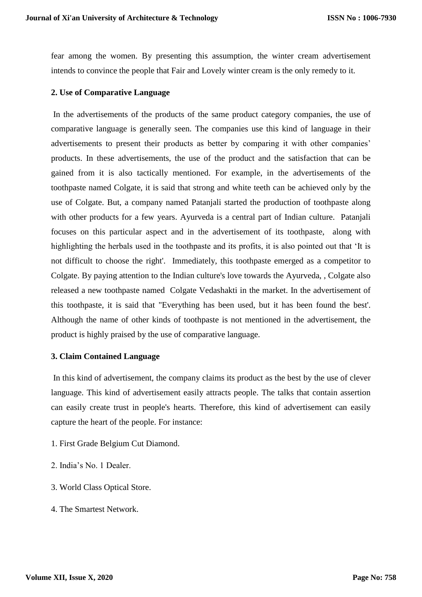fear among the women. By presenting this assumption, the winter cream advertisement intends to convince the people that Fair and Lovely winter cream is the only remedy to it.

## **2. Use of Comparative Language**

In the advertisements of the products of the same product category companies, the use of comparative language is generally seen. The companies use this kind of language in their advertisements to present their products as better by comparing it with other companies' products. In these advertisements, the use of the product and the satisfaction that can be gained from it is also tactically mentioned. For example, in the advertisements of the toothpaste named Colgate, it is said that strong and white teeth can be achieved only by the use of Colgate. But, a company named Patanjali started the production of toothpaste along with other products for a few years. Ayurveda is a central part of Indian culture. Patanjali focuses on this particular aspect and in the advertisement of its toothpaste, along with highlighting the herbals used in the toothpaste and its profits, it is also pointed out that 'It is not difficult to choose the right'. Immediately, this toothpaste emerged as a competitor to Colgate. By paying attention to the Indian culture's love towards the Ayurveda, , Colgate also released a new toothpaste named Colgate Vedashakti in the market. In the advertisement of this toothpaste, it is said that "Everything has been used, but it has been found the best'. Although the name of other kinds of toothpaste is not mentioned in the advertisement, the product is highly praised by the use of comparative language.

#### **3. Claim Contained Language**

In this kind of advertisement, the company claims its product as the best by the use of clever language. This kind of advertisement easily attracts people. The talks that contain assertion can easily create trust in people's hearts. Therefore, this kind of advertisement can easily capture the heart of the people. For instance:

- 1. First Grade Belgium Cut Diamond.
- 2. India's No. 1 Dealer.
- 3. World Class Optical Store.
- 4. The Smartest Network.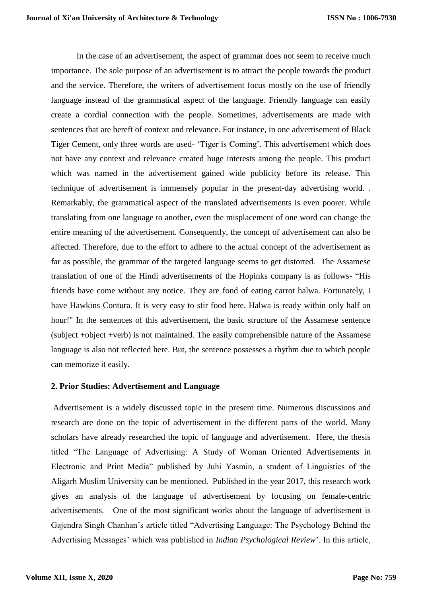In the case of an advertisement, the aspect of grammar does not seem to receive much importance. The sole purpose of an advertisement is to attract the people towards the product and the service. Therefore, the writers of advertisement focus mostly on the use of friendly language instead of the grammatical aspect of the language. Friendly language can easily create a cordial connection with the people. Sometimes, advertisements are made with sentences that are bereft of context and relevance. For instance, in one advertisement of Black Tiger Cement, only three words are used- 'Tiger is Coming'. This advertisement which does not have any context and relevance created huge interests among the people. This product which was named in the advertisement gained wide publicity before its release. This technique of advertisement is immensely popular in the present-day advertising world. . Remarkably, the grammatical aspect of the translated advertisements is even poorer. While translating from one language to another, even the misplacement of one word can change the entire meaning of the advertisement. Consequently, the concept of advertisement can also be affected. Therefore, due to the effort to adhere to the actual concept of the advertisement as far as possible, the grammar of the targeted language seems to get distorted. The Assamese translation of one of the Hindi advertisements of the Hopinks company is as follows- "His friends have come without any notice. They are fond of eating carrot halwa. Fortunately, I have Hawkins Contura. It is very easy to stir food here. Halwa is ready within only half an hour!" In the sentences of this advertisement, the basic structure of the Assamese sentence (subject +object +verb) is not maintained. The easily comprehensible nature of the Assamese language is also not reflected here. But, the sentence possesses a rhythm due to which people can memorize it easily.

#### **2. Prior Studies: Advertisement and Language**

Advertisement is a widely discussed topic in the present time. Numerous discussions and research are done on the topic of advertisement in the different parts of the world. Many scholars have already researched the topic of language and advertisement. Here, the thesis titled "The Language of Advertising: A Study of Woman Oriented Advertisements in Electronic and Print Media" published by Juhi Yasmin, a student of Linguistics of the Aligarh Muslim University can be mentioned. Published in the year 2017, this research work gives an analysis of the language of advertisement by focusing on female-centric advertisements. One of the most significant works about the language of advertisement is Gajendra Singh Chanhan's article titled "Advertising Language: The Psychology Behind the Advertising Messages' which was published in *Indian Psychological Review*'. In this article,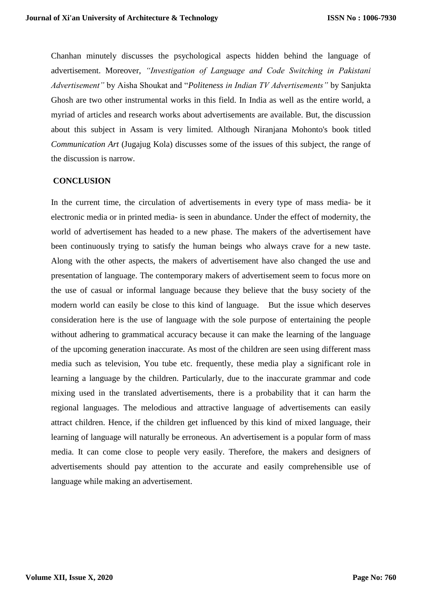Chanhan minutely discusses the psychological aspects hidden behind the language of advertisement. Moreover, *"Investigation of Language and Code Switching in Pakistani Advertisement"* by Aisha Shoukat and "*Politeness in Indian TV Advertisements"* by Sanjukta Ghosh are two other instrumental works in this field. In India as well as the entire world, a myriad of articles and research works about advertisements are available. But, the discussion about this subject in Assam is very limited. Although Niranjana Mohonto's book titled *Communication Art* (Jugajug Kola) discusses some of the issues of this subject, the range of the discussion is narrow.

# **CONCLUSION**

In the current time, the circulation of advertisements in every type of mass media- be it electronic media or in printed media- is seen in abundance. Under the effect of modernity, the world of advertisement has headed to a new phase. The makers of the advertisement have been continuously trying to satisfy the human beings who always crave for a new taste. Along with the other aspects, the makers of advertisement have also changed the use and presentation of language. The contemporary makers of advertisement seem to focus more on the use of casual or informal language because they believe that the busy society of the modern world can easily be close to this kind of language. But the issue which deserves consideration here is the use of language with the sole purpose of entertaining the people without adhering to grammatical accuracy because it can make the learning of the language of the upcoming generation inaccurate. As most of the children are seen using different mass media such as television, You tube etc. frequently, these media play a significant role in learning a language by the children. Particularly, due to the inaccurate grammar and code mixing used in the translated advertisements, there is a probability that it can harm the regional languages. The melodious and attractive language of advertisements can easily attract children. Hence, if the children get influenced by this kind of mixed language, their learning of language will naturally be erroneous. An advertisement is a popular form of mass media. It can come close to people very easily. Therefore, the makers and designers of advertisements should pay attention to the accurate and easily comprehensible use of language while making an advertisement.